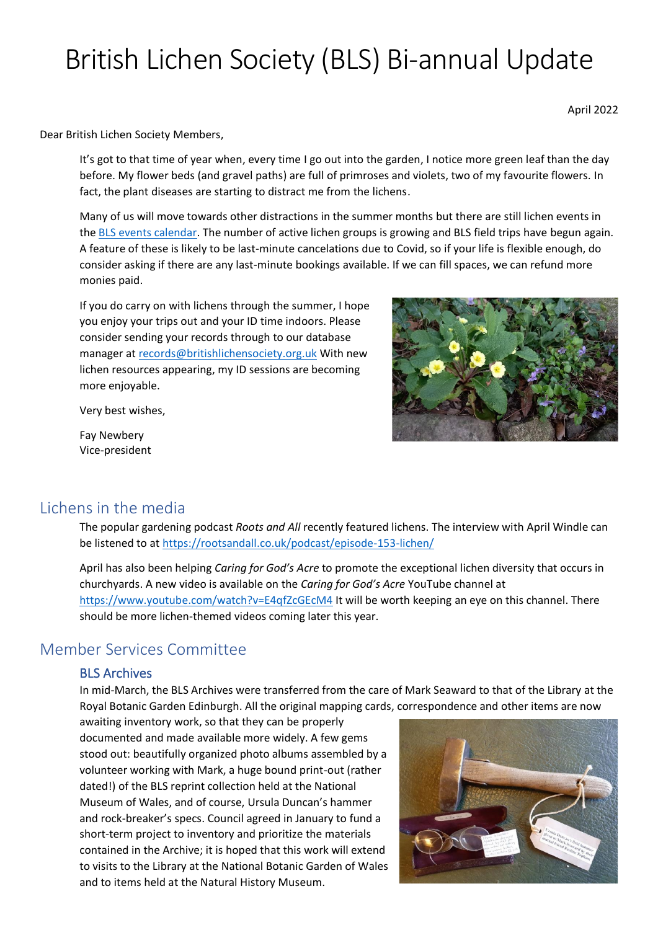# British Lichen Society (BLS) Bi-annual Update

April 2022

Dear British Lichen Society Members,

It's got to that time of year when, every time I go out into the garden, I notice more green leaf than the day before. My flower beds (and gravel paths) are full of primroses and violets, two of my favourite flowers. In fact, the plant diseases are starting to distract me from the lichens.

Many of us will move towards other distractions in the summer months but there are still lichen events in the [BLS events calendar.](https://www.britishlichensociety.org.uk/the-society/events/events-calendar) The number of active lichen groups is growing and BLS field trips have begun again. A feature of these is likely to be last-minute cancelations due to Covid, so if your life is flexible enough, do consider asking if there are any last-minute bookings available. If we can fill spaces, we can refund more monies paid.

If you do carry on with lichens through the summer, I hope you enjoy your trips out and your ID time indoors. Please consider sending your records through to our database manager at [records@britishlichensociety.org.uk](mailto:records@britishlichensociety.org.uk) With new lichen resources appearing, my ID sessions are becoming more enjoyable.

Very best wishes,

Fay Newbery Vice-president



### Lichens in the media

The popular gardening podcast *Roots and All* recently featured lichens. The interview with April Windle can be listened to at<https://rootsandall.co.uk/podcast/episode-153-lichen/>

April has also been helping *Caring for God's Acre* to promote the exceptional lichen diversity that occurs in churchyards. A new video is available on the *Caring for God's Acre* YouTube channel at <https://www.youtube.com/watch?v=E4qfZcGEcM4> It will be worth keeping an eye on this channel. There should be more lichen-themed videos coming later this year.

## Member Services Committee

#### BLS Archives

In mid-March, the BLS Archives were transferred from the care of Mark Seaward to that of the Library at the Royal Botanic Garden Edinburgh. All the original mapping cards, correspondence and other items are now

awaiting inventory work, so that they can be properly documented and made available more widely. A few gems stood out: beautifully organized photo albums assembled by a volunteer working with Mark, a huge bound print-out (rather dated!) of the BLS reprint collection held at the National Museum of Wales, and of course, Ursula Duncan's hammer and rock-breaker's specs. Council agreed in January to fund a short-term project to inventory and prioritize the materials contained in the Archive; it is hoped that this work will extend to visits to the Library at the National Botanic Garden of Wales and to items held at the Natural History Museum.

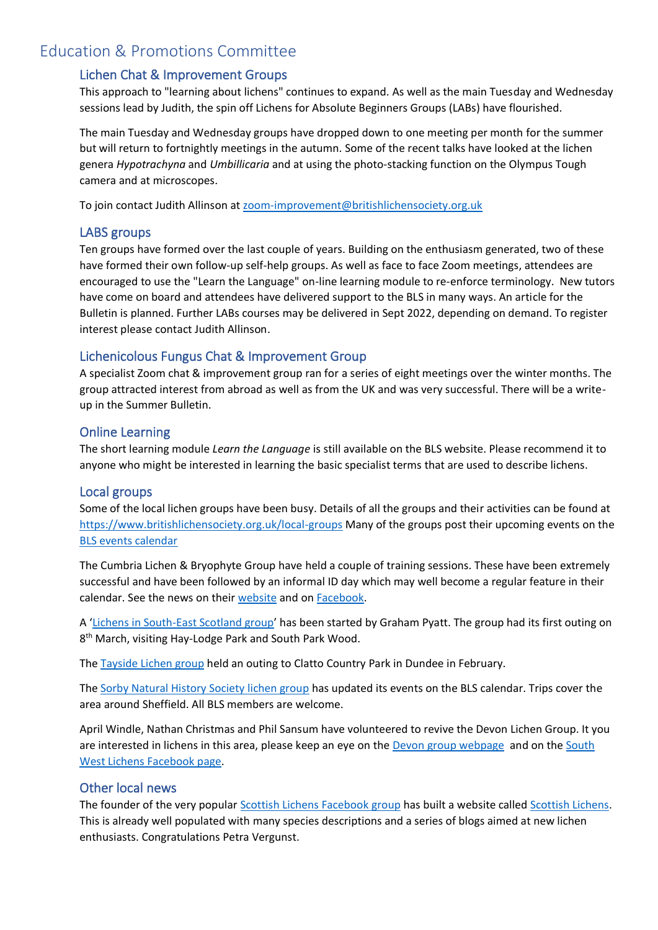# Education & Promotions Committee

#### Lichen Chat & Improvement Groups

This approach to "learning about lichens" continues to expand. As well as the main Tuesday and Wednesday sessions lead by Judith, the spin off Lichens for Absolute Beginners Groups (LABs) have flourished.

The main Tuesday and Wednesday groups have dropped down to one meeting per month for the summer but will return to fortnightly meetings in the autumn. Some of the recent talks have looked at the lichen genera *Hypotrachyna* and *Umbillicaria* and at using the photo-stacking function on the Olympus Tough camera and at microscopes.

To join contact Judith Allinson at [zoom-improvement@britishlichensociety.org.uk](mailto:zoom-improvement@britishlichensociety.org.uk)

#### LABS groups

Ten groups have formed over the last couple of years. Building on the enthusiasm generated, two of these have formed their own follow-up self-help groups. As well as face to face Zoom meetings, attendees are encouraged to use the "Learn the Language" on-line learning module to re-enforce terminology. New tutors have come on board and attendees have delivered support to the BLS in many ways. An article for the Bulletin is planned. Further LABs courses may be delivered in Sept 2022, depending on demand. To register interest please contact Judith Allinson.

#### Lichenicolous Fungus Chat & Improvement Group

A specialist Zoom chat & improvement group ran for a series of eight meetings over the winter months. The group attracted interest from abroad as well as from the UK and was very successful. There will be a writeup in the Summer Bulletin.

#### Online Learning

The short learning module *Learn the Language* is still available on the BLS website. Please recommend it to anyone who might be interested in learning the basic specialist terms that are used to describe lichens.

#### Local groups

Some of the local lichen groups have been busy. Details of all the groups and their activities can be found at <https://www.britishlichensociety.org.uk/local-groups> Many of the groups post their upcoming events on the [BLS events calendar](https://www.britishlichensociety.org.uk/the-society/events/events-calendar)

The Cumbria Lichen & Bryophyte Group have held a couple of training sessions. These have been extremely successful and have been followed by an informal ID day which may well become a regular feature in their calendar. See the news on their [website](https://cumbrialichensbryophytes.org.uk/) and on [Facebook.](https://www.facebook.com/groups/cumbrialichens/)

A '[Lichens in South-East Scotland group](https://www.britishlichensociety.org.uk/local-groups/south-east-scotland)' has been started by Graham Pyatt. The group had its first outing on 8<sup>th</sup> March, visiting Hay-Lodge Park and South Park Wood.

The [Tayside Lichen group](https://www.britishlichensociety.org.uk/local-groups/tayside) held an outing to Clatto Country Park in Dundee in February.

The [Sorby Natural History Society lichen group](https://www.britishlichensociety.org.uk/local-groups/sorby) has updated its events on the BLS calendar. Trips cover the area around Sheffield. All BLS members are welcome.

April Windle, Nathan Christmas and Phil Sansum have volunteered to revive the Devon Lichen Group. It you are interested in lichens in this area, please keep an eye on the [Devon group webpage](https://www.britishlichensociety.org.uk/local-groups/devon) and on the South [West Lichens Facebook page.](https://www.facebook.com/groups/southwestlichens)

#### Other local news

The founder of the very popular [Scottish Lichens Facebook group](https://www.facebook.com/groups/746046762602517/about/) has built a website called [Scottish Lichens.](https://scottishlichens.co.uk/) This is already well populated with many species descriptions and a series of blogs aimed at new lichen enthusiasts. Congratulations Petra Vergunst.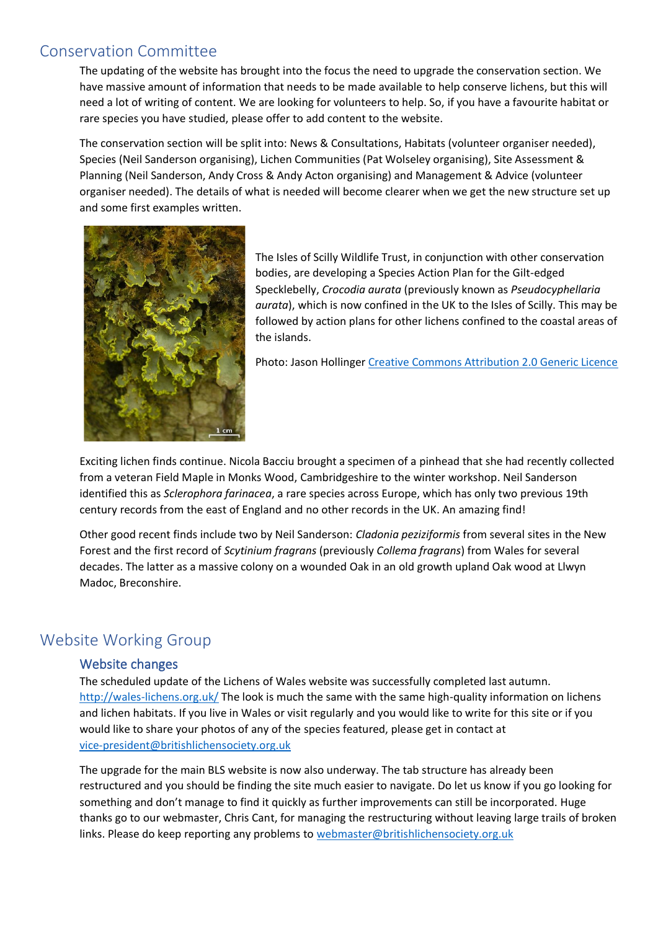# Conservation Committee

The updating of the website has brought into the focus the need to upgrade the conservation section. We have massive amount of information that needs to be made available to help conserve lichens, but this will need a lot of writing of content. We are looking for volunteers to help. So, if you have a favourite habitat or rare species you have studied, please offer to add content to the website.

The conservation section will be split into: News & Consultations, Habitats (volunteer organiser needed), Species (Neil Sanderson organising), Lichen Communities (Pat Wolseley organising), Site Assessment & Planning (Neil Sanderson, Andy Cross & Andy Acton organising) and Management & Advice (volunteer organiser needed). The details of what is needed will become clearer when we get the new structure set up and some first examples written.



The Isles of Scilly Wildlife Trust, in conjunction with other conservation bodies, are developing a Species Action Plan for the Gilt-edged Specklebelly, *Crocodia aurata* (previously known as *Pseudocyphellaria aurata*), which is now confined in the UK to the Isles of Scilly. This may be followed by action plans for other lichens confined to the coastal areas of the islands.

Photo: Jason Hollinger [Creative Commons Attribution 2.0 Generic Licence](https://creativecommons.org/licenses/by/2.0/deed.en)

Exciting lichen finds continue. Nicola Bacciu brought a specimen of a pinhead that she had recently collected from a veteran Field Maple in Monks Wood, Cambridgeshire to the winter workshop. Neil Sanderson identified this as *Sclerophora farinacea*, a rare species across Europe, which has only two previous 19th century records from the east of England and no other records in the UK. An amazing find!

Other good recent finds include two by Neil Sanderson: *Cladonia peziziformis* from several sites in the New Forest and the first record of *Scytinium fragrans* (previously *Collema fragrans*) from Wales for several decades. The latter as a massive colony on a wounded Oak in an old growth upland Oak wood at Llwyn Madoc, Breconshire.

# Website Working Group

#### Website changes

The scheduled update of the Lichens of Wales website was successfully completed last autumn. <http://wales-lichens.org.uk/> The look is much the same with the same high-quality information on lichens and lichen habitats. If you live in Wales or visit regularly and you would like to write for this site or if you would like to share your photos of any of the species featured, please get in contact at [vice-president@britishlichensociety.org.uk](mailto:vicepresident@britishlichensociety.org.uk)

The upgrade for the main BLS website is now also underway. The tab structure has already been restructured and you should be finding the site much easier to navigate. Do let us know if you go looking for something and don't manage to find it quickly as further improvements can still be incorporated. Huge thanks go to our webmaster, Chris Cant, for managing the restructuring without leaving large trails of broken links. Please do keep reporting any problems to [webmaster@britishlichensociety.org.uk](mailto:webmaster@britishlichensociety.org.uk)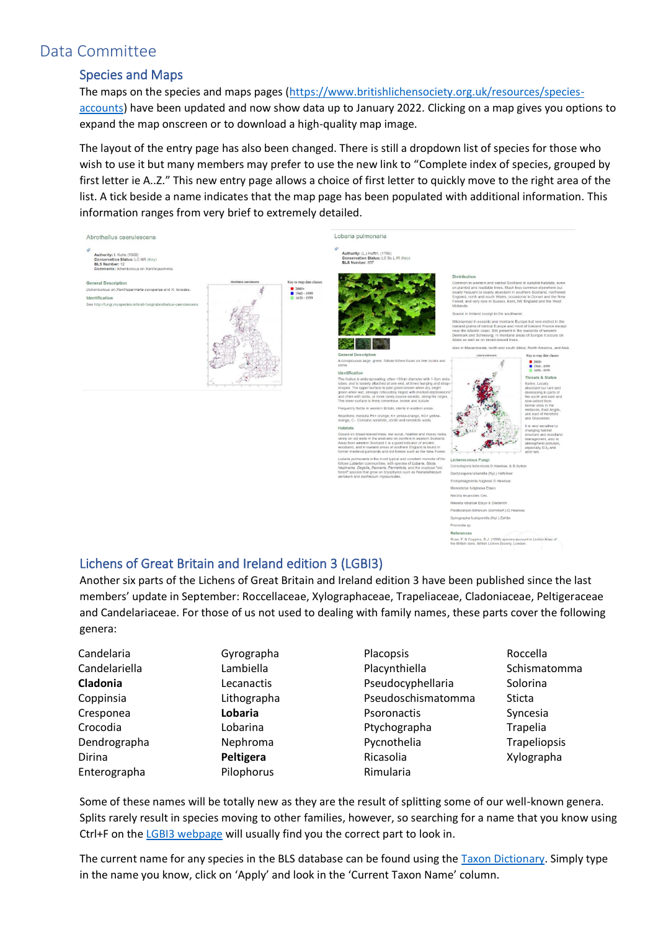# Data Committee

#### Species and Maps

The maps on the species and maps pages [\(https://www.britishlichensociety.org.uk/resources/species](https://www.britishlichensociety.org.uk/resources/species-accounts)[accounts\)](https://www.britishlichensociety.org.uk/resources/species-accounts) have been updated and now show data up to January 2022. Clicking on a map gives you options to expand the map onscreen or to download a high-quality map image.

The layout of the entry page has also been changed. There is still a dropdown list of species for those who wish to use it but many members may prefer to use the new link to "Complete index of species, grouped by first letter ie A..Z." This new entry page allows a choice of first letter to quickly move to the right area of the list. A tick beside a name indicates that the map page has been populated with additional information. This information ranges from very brief to extremely detailed.



Another six parts of the Lichens of Great Britain and Ireland edition 3 have been published since the last members' update in September: Roccellaceae, Xylographaceae, Trapeliaceae, Cladoniaceae, Peltigeraceae and Candelariaceae. For those of us not used to dealing with family names, these parts cover the following genera:

| Candelaria    | Gyrographa  | Placopsis          | Roccella     |
|---------------|-------------|--------------------|--------------|
| Candelariella | Lambiella   | Placynthiella      | Schismatomma |
| Cladonia      | Lecanactis  | Pseudocyphellaria  | Solorina     |
| Coppinsia     | Lithographa | Pseudoschismatomma | Sticta       |
| Cresponea     | Lobaria     | Psoronactis        | Syncesia     |
| Crocodia      | Lobarina    | Ptychographa       | Trapelia     |
| Dendrographa  | Nephroma    | Pycnothelia        | Trapeliopsis |
| Dirina        | Peltigera   | Ricasolia          | Xylographa   |
| Enterographa  | Pilophorus  | Rimularia          |              |

Some of these names will be totally new as they are the result of splitting some of our well-known genera. Splits rarely result in species moving to other families, however, so searching for a name that you know using Ctrl+F on the [LGBI3 webpage](https://www.britishlichensociety.org.uk/identification/lgbi3) will usually find you the correct part to look in.

The current name for any species in the BLS database can be found using the **Taxon Dictionary**. Simply type in the name you know, click on 'Apply' and look in the 'Current Taxon Name' column.